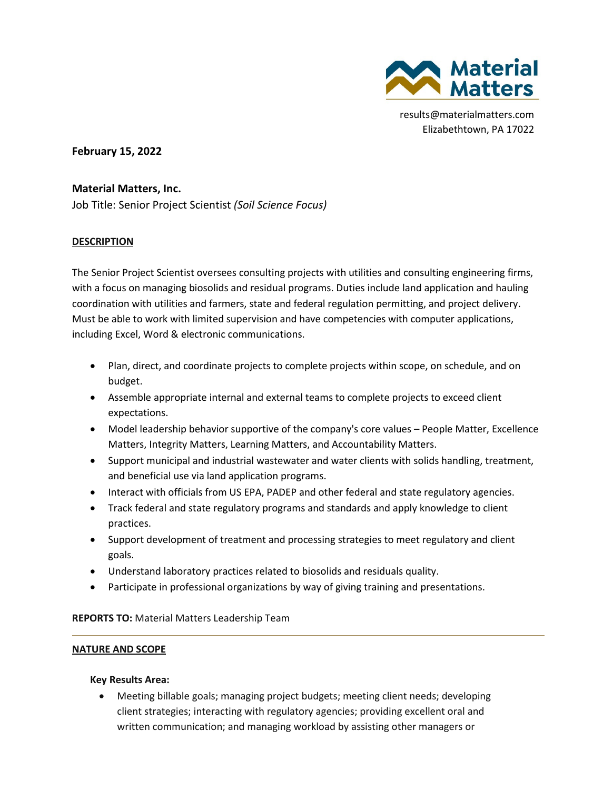

results@materialmatters.com Elizabethtown, PA 17022

**February 15, 2022** 

# **Material Matters, Inc.**

Job Title: Senior Project Scientist *(Soil Science Focus)*

## **DESCRIPTION**

The Senior Project Scientist oversees consulting projects with utilities and consulting engineering firms, with a focus on managing biosolids and residual programs. Duties include land application and hauling coordination with utilities and farmers, state and federal regulation permitting, and project delivery. Must be able to work with limited supervision and have competencies with computer applications, including Excel, Word & electronic communications.

- Plan, direct, and coordinate projects to complete projects within scope, on schedule, and on budget.
- Assemble appropriate internal and external teams to complete projects to exceed client expectations.
- Model leadership behavior supportive of the company's core values People Matter, Excellence Matters, Integrity Matters, Learning Matters, and Accountability Matters.
- Support municipal and industrial wastewater and water clients with solids handling, treatment, and beneficial use via land application programs.
- Interact with officials from US EPA, PADEP and other federal and state regulatory agencies.
- Track federal and state regulatory programs and standards and apply knowledge to client practices.
- Support development of treatment and processing strategies to meet regulatory and client goals.
- Understand laboratory practices related to biosolids and residuals quality.
- Participate in professional organizations by way of giving training and presentations.

**REPORTS TO:** Material Matters Leadership Team

### **NATURE AND SCOPE**

### **Key Results Area:**

• Meeting billable goals; managing project budgets; meeting client needs; developing client strategies; interacting with regulatory agencies; providing excellent oral and written communication; and managing workload by assisting other managers or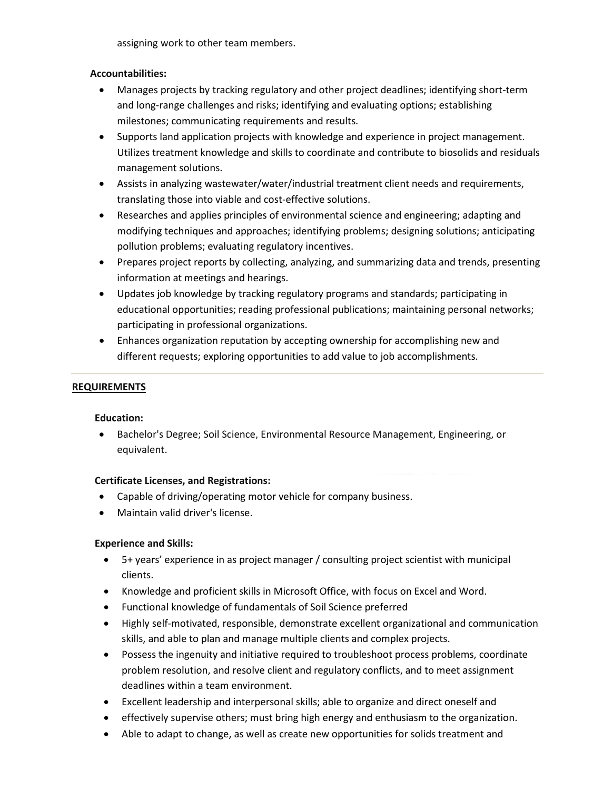assigning work to other team members.

### **Accountabilities:**

- Manages projects by tracking regulatory and other project deadlines; identifying short-term and long-range challenges and risks; identifying and evaluating options; establishing milestones; communicating requirements and results.
- Supports land application projects with knowledge and experience in project management. Utilizes treatment knowledge and skills to coordinate and contribute to biosolids and residuals management solutions.
- Assists in analyzing wastewater/water/industrial treatment client needs and requirements, translating those into viable and cost-effective solutions.
- Researches and applies principles of environmental science and engineering; adapting and modifying techniques and approaches; identifying problems; designing solutions; anticipating pollution problems; evaluating regulatory incentives.
- Prepares project reports by collecting, analyzing, and summarizing data and trends, presenting information at meetings and hearings.
- Updates job knowledge by tracking regulatory programs and standards; participating in educational opportunities; reading professional publications; maintaining personal networks; participating in professional organizations.
- Enhances organization reputation by accepting ownership for accomplishing new and different requests; exploring opportunities to add value to job accomplishments.

## **REQUIREMENTS**

### **Education:**

• Bachelor's Degree; Soil Science, Environmental Resource Management, Engineering, or equivalent.

### **Certificate Licenses, and Registrations:**

- Capable of driving/operating motor vehicle for company business.
- Maintain valid driver's license.

### **Experience and Skills:**

- 5+ years' experience in as project manager / consulting project scientist with municipal clients.
- Knowledge and proficient skills in Microsoft Office, with focus on Excel and Word.
- Functional knowledge of fundamentals of Soil Science preferred
- Highly self-motivated, responsible, demonstrate excellent organizational and communication skills, and able to plan and manage multiple clients and complex projects.
- Possess the ingenuity and initiative required to troubleshoot process problems, coordinate problem resolution, and resolve client and regulatory conflicts, and to meet assignment deadlines within a team environment.
- Excellent leadership and interpersonal skills; able to organize and direct oneself and
- effectively supervise others; must bring high energy and enthusiasm to the organization.
- Able to adapt to change, as well as create new opportunities for solids treatment and